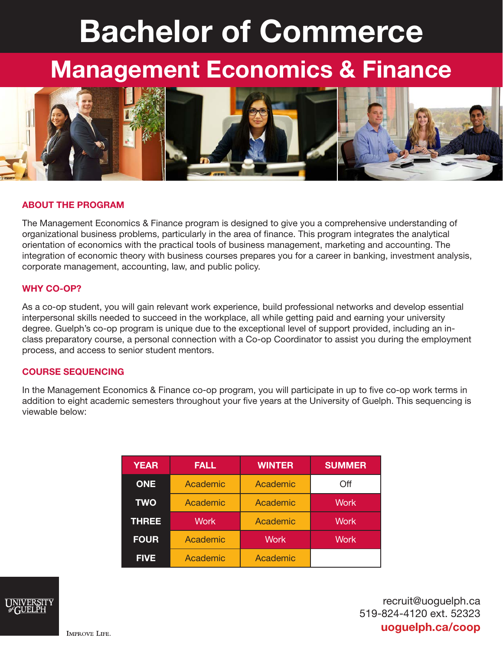# Bachelor of Commerce

## Management Economics & Finance



#### ABOUT THE PROGRAM

The Management Economics & Finance program is designed to give you a comprehensive understanding of organizational business problems, particularly in the area of finance. This program integrates the analytical orientation of economics with the practical tools of business management, marketing and accounting. The integration of economic theory with business courses prepares you for a career in banking, investment analysis, corporate management, accounting, law, and public policy.

#### WHY CO-OP?

As a co-op student, you will gain relevant work experience, build professional networks and develop essential interpersonal skills needed to succeed in the workplace, all while getting paid and earning your university degree. Guelph's co-op program is unique due to the exceptional level of support provided, including an inclass preparatory course, a personal connection with a Co-op Coordinator to assist you during the employment process, and access to senior student mentors.

#### COURSE SEQUENCING

In the Management Economics & Finance co-op program, you will participate in up to five co-op work terms in addition to eight academic semesters throughout your five years at the University of Guelph. This sequencing is viewable below:

| <b>YEAR</b>  | <b>FALL</b> | <b>WINTER</b> | <b>SUMMER</b> |
|--------------|-------------|---------------|---------------|
| <b>ONE</b>   | Academic    | Academic      | Off           |
| <b>TWO</b>   | Academic    | Academic      | <b>Work</b>   |
| <b>THREE</b> | <b>Work</b> | Academic      | <b>Work</b>   |
| <b>FOUR</b>  | Academic    | <b>Work</b>   | <b>Work</b>   |
| <b>FIVE</b>  | Academic    | Academic      |               |



recruit@uoguelph.ca 519-824-4120 ext. 52323 uoguelph.ca/coop